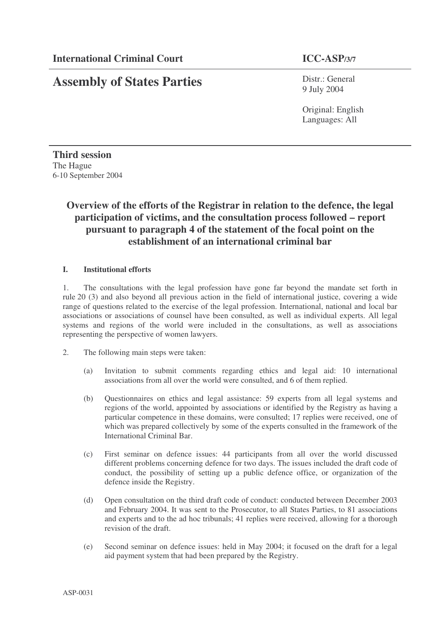# **Assembly of States Parties**

Distr.: General 9 July 2004

Original: English Languages: All

**Third session** The Hague 6-10 September 2004

## **Overview of the efforts of the Registrar in relation to the defence, the legal participation of victims, and the consultation process followed – report pursuant to paragraph 4 of the statement of the focal point on the establishment of an international criminal bar**

#### **I. Institutional efforts**

1. The consultations with the legal profession have gone far beyond the mandate set forth in rule 20 (3) and also beyond all previous action in the field of international justice, covering a wide range of questions related to the exercise of the legal profession. International, national and local bar associations or associations of counsel have been consulted, as well as individual experts. All legal systems and regions of the world were included in the consultations, as well as associations representing the perspective of women lawyers.

- 2. The following main steps were taken:
	- (a) Invitation to submit comments regarding ethics and legal aid: 10 international associations from all over the world were consulted, and 6 of them replied.
	- (b) Questionnaires on ethics and legal assistance: 59 experts from all legal systems and regions of the world, appointed by associations or identified by the Registry as having a particular competence in these domains, were consulted; 17 replies were received, one of which was prepared collectively by some of the experts consulted in the framework of the International Criminal Bar.
	- (c) First seminar on defence issues: 44 participants from all over the world discussed different problems concerning defence for two days. The issues included the draft code of conduct, the possibility of setting up a public defence office, or organization of the defence inside the Registry.
	- (d) Open consultation on the third draft code of conduct: conducted between December 2003 and February 2004. It was sent to the Prosecutor, to all States Parties, to 81 associations and experts and to the ad hoc tribunals; 41 replies were received, allowing for a thorough revision of the draft.
	- (e) Second seminar on defence issues: held in May 2004; it focused on the draft for a legal aid payment system that had been prepared by the Registry.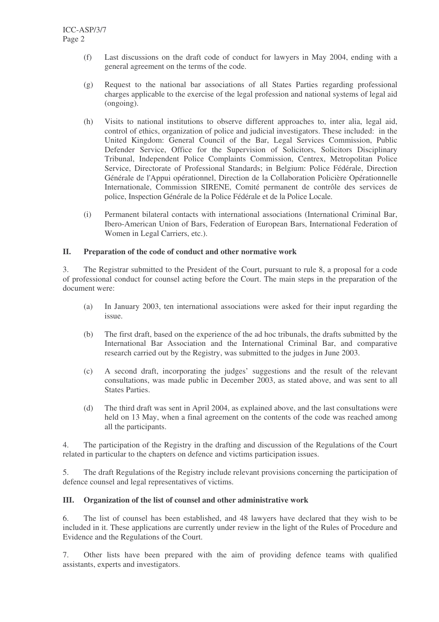- (f) Last discussions on the draft code of conduct for lawyers in May 2004, ending with a general agreement on the terms of the code.
- (g) Request to the national bar associations of all States Parties regarding professional charges applicable to the exercise of the legal profession and national systems of legal aid (ongoing).
- (h) Visits to national institutions to observe different approaches to, inter alia, legal aid, control of ethics, organization of police and judicial investigators. These included: in the United Kingdom: General Council of the Bar, Legal Services Commission, Public Defender Service, Office for the Supervision of Solicitors, Solicitors Disciplinary Tribunal, Independent Police Complaints Commission, Centrex, Metropolitan Police Service, Directorate of Professional Standards; in Belgium: Police Fédérale, Direction Générale de l'Appui opérationnel, Direction de la Collaboration Policière Opérationnelle Internationale, Commission SIRENE, Comité permanent de contrôle des services de police, Inspection Générale de la Police Fédérale et de la Police Locale.
- (i) Permanent bilateral contacts with international associations (International Criminal Bar, Ibero-American Union of Bars, Federation of European Bars, International Federation of Women in Legal Carriers, etc.).

#### **II. Preparation of the code of conduct and other normative work**

3. The Registrar submitted to the President of the Court, pursuant to rule 8, a proposal for a code of professional conduct for counsel acting before the Court. The main steps in the preparation of the document were:

- (a) In January 2003, ten international associations were asked for their input regarding the issue.
- (b) The first draft, based on the experience of the ad hoc tribunals, the drafts submitted by the International Bar Association and the International Criminal Bar, and comparative research carried out by the Registry, was submitted to the judges in June 2003.
- (c) A second draft, incorporating the judges' suggestions and the result of the relevant consultations, was made public in December 2003, as stated above, and was sent to all States Parties.
- (d) The third draft was sent in April 2004, as explained above, and the last consultations were held on 13 May, when a final agreement on the contents of the code was reached among all the participants.

4. The participation of the Registry in the drafting and discussion of the Regulations of the Court related in particular to the chapters on defence and victims participation issues.

5. The draft Regulations of the Registry include relevant provisions concerning the participation of defence counsel and legal representatives of victims.

#### **III. Organization of the list of counsel and other administrative work**

6. The list of counsel has been established, and 48 lawyers have declared that they wish to be included in it. These applications are currently under review in the light of the Rules of Procedure and Evidence and the Regulations of the Court.

7. Other lists have been prepared with the aim of providing defence teams with qualified assistants, experts and investigators.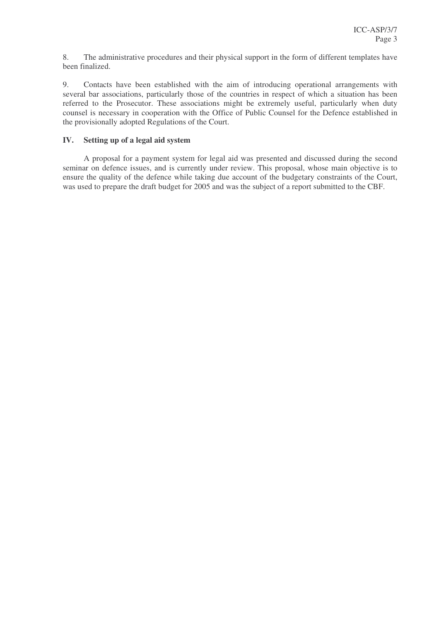8. The administrative procedures and their physical support in the form of different templates have been finalized.

9. Contacts have been established with the aim of introducing operational arrangements with several bar associations, particularly those of the countries in respect of which a situation has been referred to the Prosecutor. These associations might be extremely useful, particularly when duty counsel is necessary in cooperation with the Office of Public Counsel for the Defence established in the provisionally adopted Regulations of the Court.

#### **IV. Setting up of a legal aid system**

A proposal for a payment system for legal aid was presented and discussed during the second seminar on defence issues, and is currently under review. This proposal, whose main objective is to ensure the quality of the defence while taking due account of the budgetary constraints of the Court, was used to prepare the draft budget for 2005 and was the subject of a report submitted to the CBF.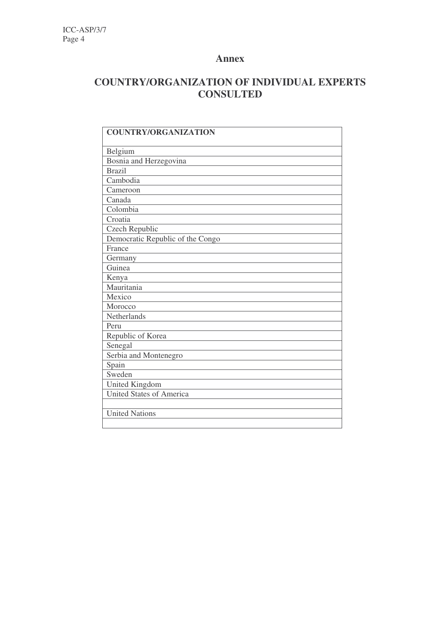### **Annex**

## **COUNTRY/ORGANIZATION OF INDIVIDUAL EXPERTS CONSULTED**

| <b>COUNTRY/ORGANIZATION</b>      |
|----------------------------------|
| Belgium                          |
| Bosnia and Herzegovina           |
| <b>Brazil</b>                    |
| Cambodia                         |
| Cameroon                         |
| Canada                           |
| Colombia                         |
| Croatia                          |
| Czech Republic                   |
| Democratic Republic of the Congo |
| France                           |
| Germany                          |
| Guinea                           |
| Kenya                            |
| Mauritania                       |
| Mexico                           |
| Morocco                          |
| Netherlands                      |
| Peru                             |
| Republic of Korea                |
| Senegal                          |
| Serbia and Montenegro            |
| Spain                            |
| Sweden                           |
| United Kingdom                   |
| <b>United States of America</b>  |
|                                  |
| <b>United Nations</b>            |
|                                  |